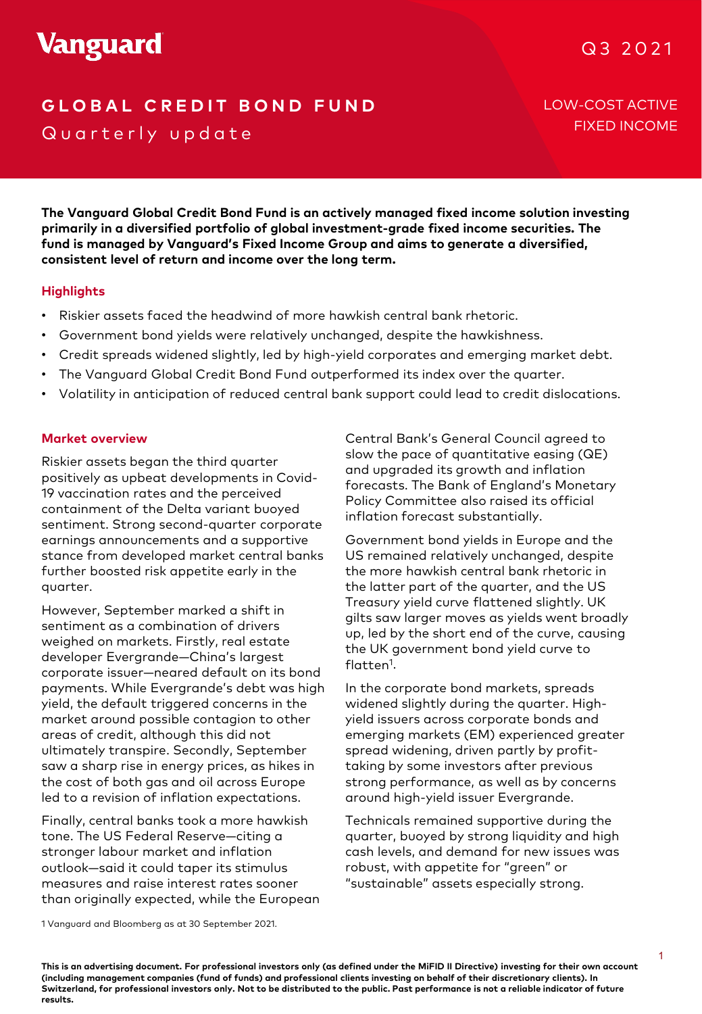# **GLOBAL CREDIT BOND FUND** LOW-COST ACTIVE Quarterly update

FIXED INCOME

**The Vanguard Global Credit Bond Fund is an actively managed fixed income solution investing primarily in a diversified portfolio of global investment-grade fixed income securities. The fund is managed by Vanguard's Fixed Income Group and aims to generate a diversified, consistent level of return and income over the long term.**

# **Highlights**

- Riskier assets faced the headwind of more hawkish central bank rhetoric.
- Government bond yields were relatively unchanged, despite the hawkishness.
- Credit spreads widened slightly, led by high-yield corporates and emerging market debt.
- The Vanguard Global Credit Bond Fund outperformed its index over the quarter.
- Volatility in anticipation of reduced central bank support could lead to credit dislocations.

#### **Market overview**

sentiment. Strong second-quarter corporate inflation forecast substantial end in the second second quarter corporate stance from developed market central banks Riskier assets began the third quarter positively as upbeat developments in Covid-19 vaccination rates and the perceived containment of the Delta variant buoyed earnings announcements and a supportive further boosted risk appetite early in the quarter.

However, September marked a shift in sentiment as a combination of drivers weighed on markets. Firstly, real estate developer Evergrande—China's largest corporate issuer—neared default on its bond payments. While Evergrande's debt was high yield, the default triggered concerns in the market around possible contagion to other areas of credit, although this did not ultimately transpire. Secondly, September saw a sharp rise in energy prices, as hikes in the cost of both gas and oil across Europe led to a revision of inflation expectations.

Finally, central banks took a more hawkish tone. The US Federal Reserve—citing a stronger labour market and inflation outlook—said it could taper its stimulus measures and raise interest rates sooner than originally expected, while the European

Central Bank's General Council agreed to slow the pace of quantitative easing (QE) and upgraded its growth and inflation forecasts. The Bank of England's Monetary Policy Committee also raised its official inflation forecast substantially.

Government bond yields in Europe and the US remained relatively unchanged, despite the more hawkish central bank rhetoric in the latter part of the quarter, and the US Treasury yield curve flattened slightly. UK gilts saw larger moves as yields went broadly up, led by the short end of the curve, causing the UK government bond yield curve to flatten<sup>1</sup>.

In the corporate bond markets, spreads widened slightly during the quarter. Highyield issuers across corporate bonds and emerging markets (EM) experienced greater spread widening, driven partly by profittaking by some investors after previous strong performance, as well as by concerns around high-yield issuer Evergrande.

Technicals remained supportive during the quarter, buoyed by strong liquidity and high cash levels, and demand for new issues was robust, with appetite for "green" or "sustainable" assets especially strong.

1 Vanguard and Bloomberg as at 30 September 2021.

**This is an advertising document. For professional investors only (as defined under the MiFID II Directive) investing for their own account (including management companies (fund of funds) and professional clients investing on behalf of their discretionary clients). In Switzerland, for professional investors only. Not to be distributed to the public. Past performance is not a reliable indicator of future results.**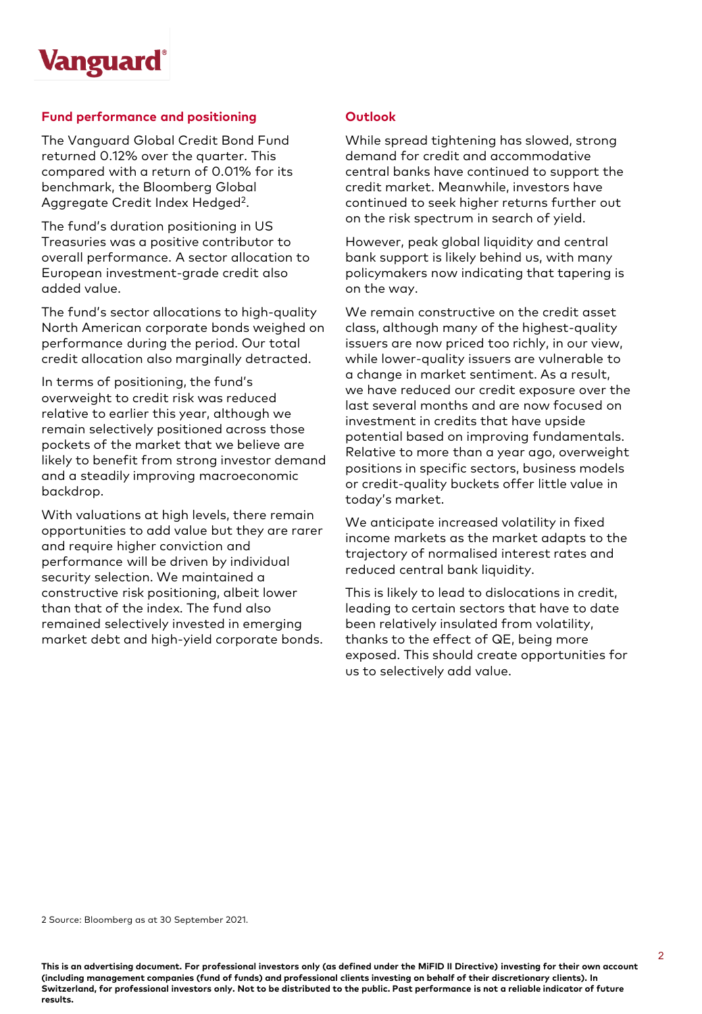

#### **Fund performance and positioning**

The Vanguard Global Credit Bond Fund returned 0.12% over the quarter. This compared with a return of 0.01% for its benchmark, the Bloomberg Global Aggregate Credit Index Hedged2.

The fund's duration positioning in US Treasuries was a positive contributor to overall performance. A sector allocation to European investment-grade credit also added value.

The fund's sector allocations to high-quality North American corporate bonds weighed on performance during the period. Our total credit allocation also marginally detracted.

In terms of positioning, the fund's overweight to credit risk was reduced relative to earlier this year, although we remain selectively positioned across those pockets of the market that we believe are likely to benefit from strong investor demand and a steadily improving macroeconomic backdrop.

With valuations at high levels, there remain opportunities to add value but they are rarer and require higher conviction and performance will be driven by individual security selection. We maintained a constructive risk positioning, albeit lower than that of the index. The fund also remained selectively invested in emerging market debt and high-yield corporate bonds.

### **Outlook**

While spread tightening has slowed, strong demand for credit and accommodative central banks have continued to support the credit market. Meanwhile, investors have continued to seek higher returns further out on the risk spectrum in search of yield.

However, peak global liquidity and central bank support is likely behind us, with many policymakers now indicating that tapering is on the way.

We remain constructive on the credit asset class, although many of the highest-quality issuers are now priced too richly, in our view, while lower-quality issuers are vulnerable to a change in market sentiment. As a result, we have reduced our credit exposure over the last several months and are now focused on investment in credits that have upside potential based on improving fundamentals. Relative to more than a year ago, overweight positions in specific sectors, business models or credit-quality buckets offer little value in today's market.

We anticipate increased volatility in fixed income markets as the market adapts to the trajectory of normalised interest rates and reduced central bank liquidity.

This is likely to lead to dislocations in credit, leading to certain sectors that have to date been relatively insulated from volatility, thanks to the effect of QE, being more exposed. This should create opportunities for us to selectively add value.

2 Source: Bloomberg as at 30 September 2021.

**This is an advertising document. For professional investors only (as defined under the MiFID II Directive) investing for their own account (including management companies (fund of funds) and professional clients investing on behalf of their discretionary clients). In Switzerland, for professional investors only. Not to be distributed to the public. Past performance is not a reliable indicator of future results.**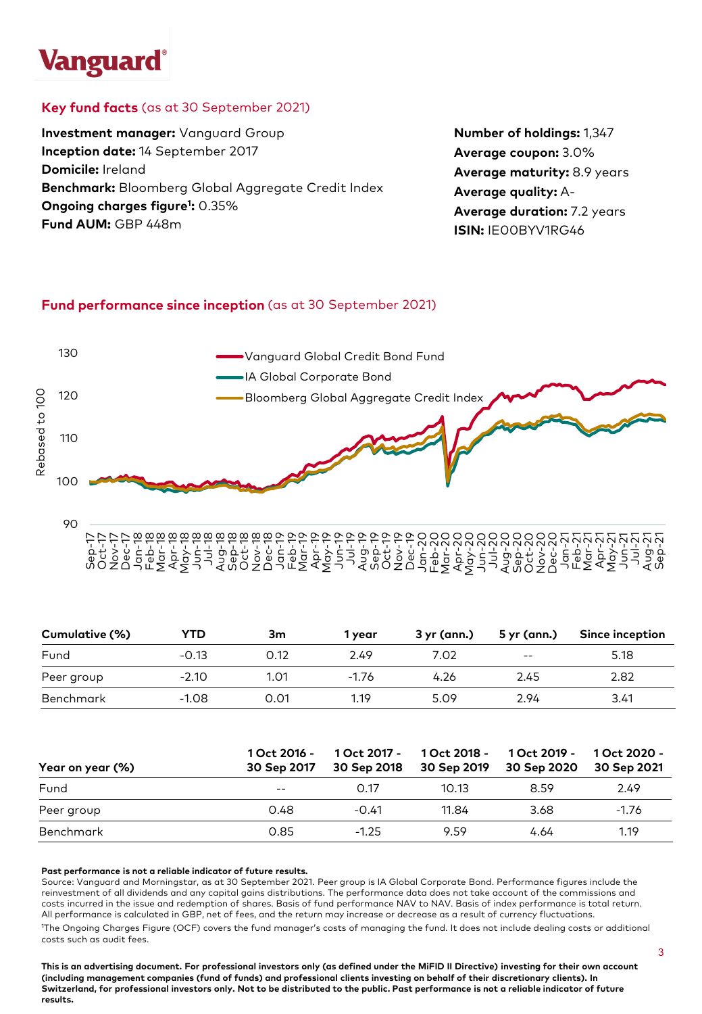# **Vanguard**

# **Key fund facts** (as at 30 September 2021)

**Investment manager:** Vanguard Group **Inception date:** 14 September 2017 **Domicile:** Ireland **Benchmark:** Bloomberg Global Aggregate Credit Index **Ongoing charges figure1 :** 0.35% **Fund AUM:** GBP 448m

**Number of holdings:** 1,347 **Average coupon:** 3.0% **Average maturity:** 8.9 years **Average quality:** A-**Average duration:** 7.2 years **ISIN:** IE00BYV1RG46

# **Fund performance since inception** (as at 30 September 2021)



Sep-17 Oct-17 Nov-17 Dec-17 Jan-18 Feb-18 Mar-18 Apr-18 May-18 Jun-18 Jul-18 Aug-18 Sep-18 Oct-18 Nov-18 Dec-18 Jan-19 Feb-19 Mar-19 Apr-19 May-19 Jun-19 Jul-19 Aug-19 Sep-19 Oct-19 Nov-19 Dec-19 Jan-20 Feb-20 Mar-20 Apr-20 May-20 Jun-20 Jul-20 Aug-20 Sep-20 Oct-20 Nov-20 Dec-20 Jan-21 Feb-21 Mar-21 Apr-21 May-21 Jun-21 Jul-21 Aug-21 Sep-21

| Cumulative (%) | YTD     | 3m   | 1 vear  | 3 yr (ann.) | 5 yr (ann.) | Since inception |
|----------------|---------|------|---------|-------------|-------------|-----------------|
| Fund           | $-0.13$ | 0.12 | 2.49    | 7.02        | $- -$       | 5.18            |
| Peer group     | $-2.10$ | 1.01 | $-1.76$ | 4.26        | 2.45        | 2.82            |
| Benchmark      | $-1.08$ | 0.01 | 1.19    | 5.09        | 2.94        | 3.41            |

| Year on year (%) | 1 Oct 2016 -<br>30 Sep 2017 | 1 Oct 2017 -<br>30 Sep 2018 |       | 1 Oct 2018 - 1 Oct 2019 -<br>30 Sep 2019 30 Sep 2020 | 1 Oct 2020 -<br>30 Sep 2021 |
|------------------|-----------------------------|-----------------------------|-------|------------------------------------------------------|-----------------------------|
| Fund             | $\qquad \qquad -$           | 0.17                        | 10.13 | 8.59                                                 | 2.49                        |
| Peer group       | 0.48                        | $-0.41$                     | 11.84 | 3.68                                                 | $-1.76$                     |
| Benchmark        | 0.85                        | $-1.25$                     | 9.59  | 4.64                                                 | 1.19                        |

#### **Past performance is not a reliable indicator of future results.**

Source: Vanguard and Morningstar, as at 30 September 2021. Peer group is IA Global Corporate Bond. Performance figures include the reinvestment of all dividends and any capital gains distributions. The performance data does not take account of the commissions and costs incurred in the issue and redemption of shares. Basis of fund performance NAV to NAV. Basis of index performance is total return. All performance is calculated in GBP, net of fees, and the return may increase or decrease as a result of currency fluctuations. 1 The Ongoing Charges Figure (OCF) covers the fund manager's costs of managing the fund. It does not include dealing costs or additional costs such as audit fees.

**This is an advertising document. For professional investors only (as defined under the MiFID II Directive) investing for their own account (including management companies (fund of funds) and professional clients investing on behalf of their discretionary clients). In Switzerland, for professional investors only. Not to be distributed to the public. Past performance is not a reliable indicator of future results.**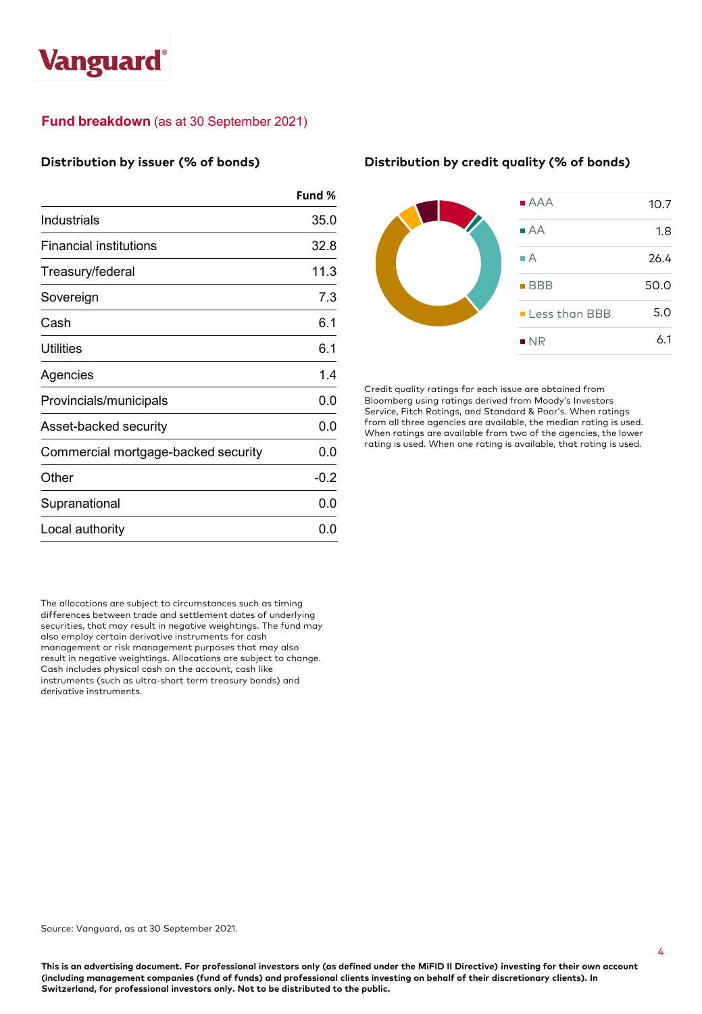

# **Fund breakdown** (as at 30 September 2021)

#### **Distribution by issuer (% of bonds)**

|                                     | Fund % |
|-------------------------------------|--------|
| Industrials                         | 35.0   |
| Financial institutions              | 32.8   |
| Treasury/federal                    | 11.3   |
| Sovereign                           | 7.3    |
| Cash                                | 6.1    |
| Utilities                           | 6.1    |
| Agencies                            | 1.4    |
| Provincials/municipals              | 0.0    |
| Asset-backed security               | 0.0    |
| Commercial mortgage-backed security | 0.0    |
| Other                               | $-0.2$ |
| Supranational                       | 0.0    |
| Local authority                     | 0.0    |

The allocations are subject to circumstances such as timing differences between trade and settlement dates of underlying securities, that may result in negative weightings. The fund may also employ certain derivative instruments for cash management or risk management purposes that may also result in negative weightings. Allocations are subject to change. Cash includes physical cash on the account, cash like instruments (such as ultra-short term treasury bonds) and derivative instruments.

#### **Distribution by credit quality (% of bonds)**



Credit quality ratings for each issue are obtained from Bloomberg using ratings derived from Moody's Investors Service, Fitch Ratings, and Standard & Poor's. When ratings from all three agencies are available, the median rating is used. When ratings are available from two of the agencies, the lower rating is used. When one rating is available, that rating is used.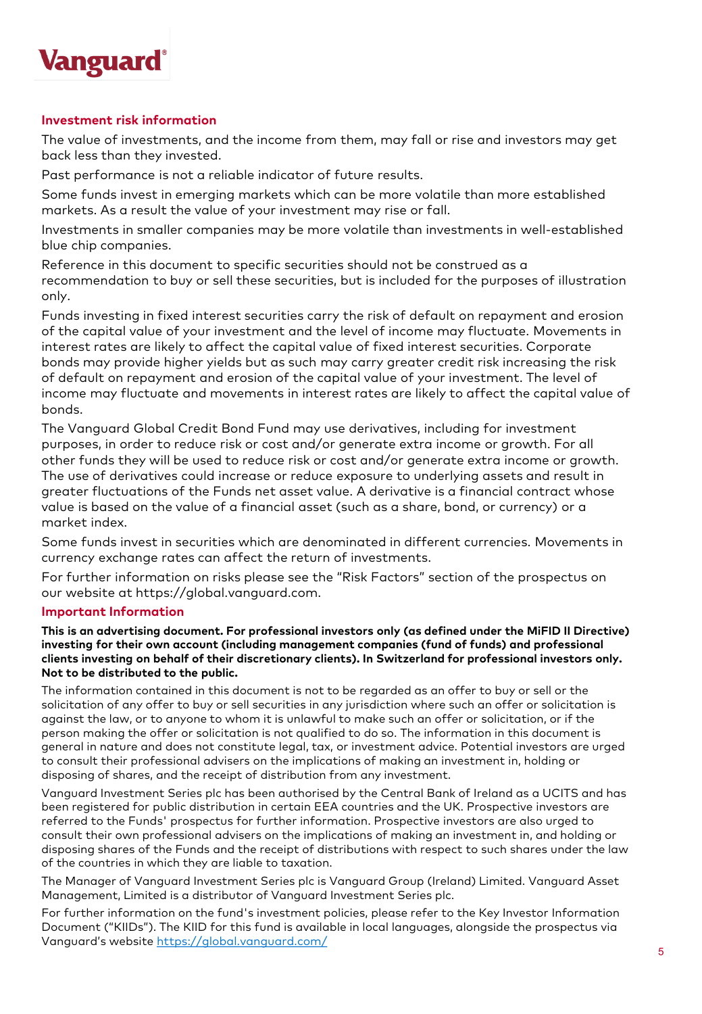

### **Investment risk information**

The value of investments, and the income from them, may fall or rise and investors may get back less than they invested.

Past performance is not a reliable indicator of future results.

Some funds invest in emerging markets which can be more volatile than more established markets. As a result the value of your investment may rise or fall.

Investments in smaller companies may be more volatile than investments in well-established blue chip companies.

Reference in this document to specific securities should not be construed as a recommendation to buy or sell these securities, but is included for the purposes of illustration only.

Funds investing in fixed interest securities carry the risk of default on repayment and erosion of the capital value of your investment and the level of income may fluctuate. Movements in interest rates are likely to affect the capital value of fixed interest securities. Corporate bonds may provide higher yields but as such may carry greater credit risk increasing the risk of default on repayment and erosion of the capital value of your investment. The level of income may fluctuate and movements in interest rates are likely to affect the capital value of bonds.

The Vanguard Global Credit Bond Fund may use derivatives, including for investment purposes, in order to reduce risk or cost and/or generate extra income or growth. For all other funds they will be used to reduce risk or cost and/or generate extra income or growth. The use of derivatives could increase or reduce exposure to underlying assets and result in greater fluctuations of the Funds net asset value. A derivative is a financial contract whose value is based on the value of a financial asset (such as a share, bond, or currency) or a market index.

Some funds invest in securities which are denominated in different currencies. Movements in currency exchange rates can affect the return of investments.

For further information on risks please see the "Risk Factors" section of the prospectus on our website at https://global.vanguard.com.

#### **Important Information**

**This is an advertising document. For professional investors only (as defined under the MiFID II Directive) investing for their own account (including management companies (fund of funds) and professional clients investing on behalf of their discretionary clients). In Switzerland for professional investors only. Not to be distributed to the public.**

The information contained in this document is not to be regarded as an offer to buy or sell or the solicitation of any offer to buy or sell securities in any jurisdiction where such an offer or solicitation is against the law, or to anyone to whom it is unlawful to make such an offer or solicitation, or if the person making the offer or solicitation is not qualified to do so. The information in this document is general in nature and does not constitute legal, tax, or investment advice. Potential investors are urged to consult their professional advisers on the implications of making an investment in, holding or disposing of shares, and the receipt of distribution from any investment.

Vanguard Investment Series plc has been authorised by the Central Bank of Ireland as a UCITS and has been registered for public distribution in certain EEA countries and the UK. Prospective investors are referred to the Funds' prospectus for further information. Prospective investors are also urged to consult their own professional advisers on the implications of making an investment in, and holding or disposing shares of the Funds and the receipt of distributions with respect to such shares under the law of the countries in which they are liable to taxation.

The Manager of Vanguard Investment Series plc is Vanguard Group (Ireland) Limited. Vanguard Asset Management, Limited is a distributor of Vanguard Investment Series plc.

For further information on the fund's investment policies, please refer to the Key Investor Information Document ("KIIDs"). The KIID for this fund is available in local languages, alongside the prospectus via Vanguard's website <https://global.vanguard.com/>